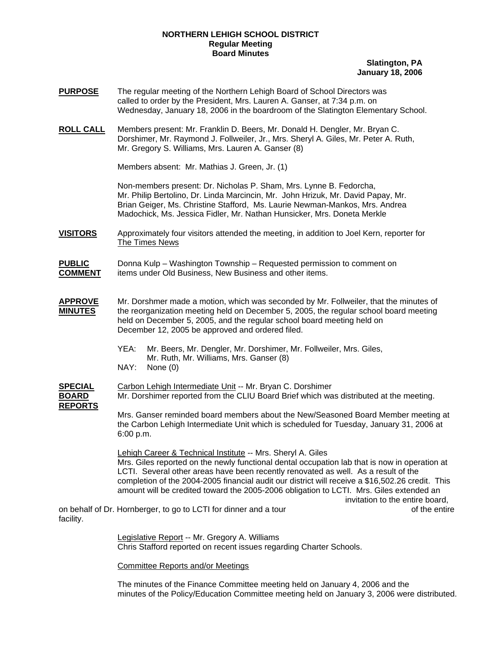## **NORTHERN LEHIGH SCHOOL DISTRICT Regular Meeting Board Minutes**

## **Slatington, PA January 18, 2006**

- **PURPOSE** The regular meeting of the Northern Lehigh Board of School Directors was called to order by the President, Mrs. Lauren A. Ganser, at 7:34 p.m. on Wednesday, January 18, 2006 in the boardroom of the Slatington Elementary School.
- **ROLL CALL** Members present: Mr. Franklin D. Beers, Mr. Donald H. Dengler, Mr. Bryan C. Dorshimer, Mr. Raymond J. Follweiler, Jr., Mrs. Sheryl A. Giles, Mr. Peter A. Ruth, Mr. Gregory S. Williams, Mrs. Lauren A. Ganser (8)

Members absent: Mr. Mathias J. Green, Jr. (1)

Non-members present: Dr. Nicholas P. Sham, Mrs. Lynne B. Fedorcha, Mr. Philip Bertolino, Dr. Linda Marcincin, Mr. John Hrizuk, Mr. David Papay, Mr. Brian Geiger, Ms. Christine Stafford, Ms. Laurie Newman-Mankos, Mrs. Andrea Madochick, Ms. Jessica Fidler, Mr. Nathan Hunsicker, Mrs. Doneta Merkle

**VISITORS** Approximately four visitors attended the meeting, in addition to Joel Kern, reporter for The Times News

**PUBLIC** Donna Kulp – Washington Township – Requested permission to comment on **COMMENT** items under Old Business, New Business and other items.

- **APPROVE** Mr. Dorshmer made a motion, which was seconded by Mr. Follweiler, that the minutes of **MINUTES** the reorganization meeting held on December 5, 2005, the regular school board meeting held on December 5, 2005, and the regular school board meeting held on December 12, 2005 be approved and ordered filed.
	- YEA: Mr. Beers, Mr. Dengler, Mr. Dorshimer, Mr. Follweiler, Mrs. Giles, Mr. Ruth, Mr. Williams, Mrs. Ganser (8)
	- NAY: None (0)

**SPECIAL** Carbon Lehigh Intermediate Unit -- Mr. Bryan C. Dorshimer **BOARD** Mr. Dorshimer reported from the CLIU Board Brief which was distributed at the meeting. **REPORTS**

 Mrs. Ganser reminded board members about the New/Seasoned Board Member meeting at the Carbon Lehigh Intermediate Unit which is scheduled for Tuesday, January 31, 2006 at 6:00 p.m.

Lehigh Career & Technical Institute -- Mrs. Sheryl A. Giles Mrs. Giles reported on the newly functional dental occupation lab that is now in operation at LCTI. Several other areas have been recently renovated as well. As a result of the completion of the 2004-2005 financial audit our district will receive a \$16,502.26 credit. This amount will be credited toward the 2005-2006 obligation to LCTI. Mrs. Giles extended an invitation to the entire board,

on behalf of Dr. Hornberger, to go to LCTI for dinner and a tour of the entire of the entire facility.

Legislative Report -- Mr. Gregory A. Williams Chris Stafford reported on recent issues regarding Charter Schools.

Committee Reports and/or Meetings

 The minutes of the Finance Committee meeting held on January 4, 2006 and the minutes of the Policy/Education Committee meeting held on January 3, 2006 were distributed.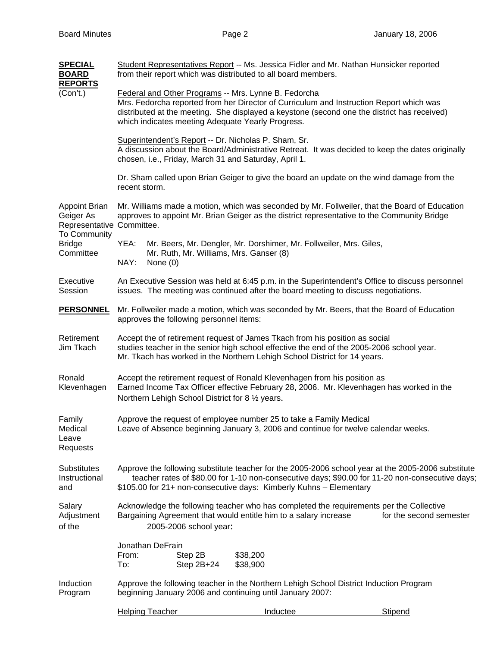| <b>SPECIAL</b><br><b>BOARD</b><br><b>REPORTS</b>                                                             | Student Representatives Report -- Ms. Jessica Fidler and Mr. Nathan Hunsicker reported<br>from their report which was distributed to all board members.                                                                                                                                             |            |                                         |                                         |                                                                    |                                                                                            |  |  |
|--------------------------------------------------------------------------------------------------------------|-----------------------------------------------------------------------------------------------------------------------------------------------------------------------------------------------------------------------------------------------------------------------------------------------------|------------|-----------------------------------------|-----------------------------------------|--------------------------------------------------------------------|--------------------------------------------------------------------------------------------|--|--|
| (Con't.)                                                                                                     | Federal and Other Programs -- Mrs. Lynne B. Fedorcha<br>Mrs. Fedorcha reported from her Director of Curriculum and Instruction Report which was<br>distributed at the meeting. She displayed a keystone (second one the district has received)<br>which indicates meeting Adequate Yearly Progress. |            |                                         |                                         |                                                                    |                                                                                            |  |  |
|                                                                                                              | Superintendent's Report -- Dr. Nicholas P. Sham, Sr.<br>A discussion about the Board/Administrative Retreat. It was decided to keep the dates originally<br>chosen, i.e., Friday, March 31 and Saturday, April 1.                                                                                   |            |                                         |                                         |                                                                    |                                                                                            |  |  |
|                                                                                                              | Dr. Sham called upon Brian Geiger to give the board an update on the wind damage from the<br>recent storm.                                                                                                                                                                                          |            |                                         |                                         |                                                                    |                                                                                            |  |  |
| <b>Appoint Brian</b><br>Geiger As<br>Representative Committee.<br>To Community<br><b>Bridge</b><br>Committee | Mr. Williams made a motion, which was seconded by Mr. Follweiler, that the Board of Education<br>approves to appoint Mr. Brian Geiger as the district representative to the Community Bridge                                                                                                        |            |                                         |                                         |                                                                    |                                                                                            |  |  |
|                                                                                                              | YEA:<br>NAY:                                                                                                                                                                                                                                                                                        | None $(0)$ |                                         | Mr. Ruth, Mr. Williams, Mrs. Ganser (8) | Mr. Beers, Mr. Dengler, Mr. Dorshimer, Mr. Follweiler, Mrs. Giles, |                                                                                            |  |  |
| Executive<br>Session                                                                                         | An Executive Session was held at 6:45 p.m. in the Superintendent's Office to discuss personnel<br>issues. The meeting was continued after the board meeting to discuss negotiations.                                                                                                                |            |                                         |                                         |                                                                    |                                                                                            |  |  |
| <b>PERSONNEL</b>                                                                                             |                                                                                                                                                                                                                                                                                                     |            | approves the following personnel items: |                                         |                                                                    | Mr. Follweiler made a motion, which was seconded by Mr. Beers, that the Board of Education |  |  |
| Retirement<br>Jim Tkach                                                                                      | Accept the of retirement request of James Tkach from his position as social<br>studies teacher in the senior high school effective the end of the 2005-2006 school year.<br>Mr. Tkach has worked in the Northern Lehigh School District for 14 years.                                               |            |                                         |                                         |                                                                    |                                                                                            |  |  |
| Ronald<br>Klevenhagen                                                                                        | Accept the retirement request of Ronald Klevenhagen from his position as<br>Earned Income Tax Officer effective February 28, 2006. Mr. Klevenhagen has worked in the<br>Northern Lehigh School District for 8 1/2 years.                                                                            |            |                                         |                                         |                                                                    |                                                                                            |  |  |
| Family<br>Medical<br>Leave<br>Requests                                                                       | Approve the request of employee number 25 to take a Family Medical<br>Leave of Absence beginning January 3, 2006 and continue for twelve calendar weeks.                                                                                                                                            |            |                                         |                                         |                                                                    |                                                                                            |  |  |
| Substitutes<br>Instructional<br>and                                                                          | Approve the following substitute teacher for the 2005-2006 school year at the 2005-2006 substitute<br>teacher rates of \$80.00 for 1-10 non-consecutive days; \$90.00 for 11-20 non-consecutive days;<br>\$105.00 for 21+ non-consecutive days: Kimberly Kuhns - Elementary                         |            |                                         |                                         |                                                                    |                                                                                            |  |  |
| Salary<br>Adjustment<br>of the                                                                               | Acknowledge the following teacher who has completed the requirements per the Collective<br>Bargaining Agreement that would entitle him to a salary increase<br>for the second semester<br>2005-2006 school year:                                                                                    |            |                                         |                                         |                                                                    |                                                                                            |  |  |
|                                                                                                              | Jonathan DeFrain<br>From:<br>To:                                                                                                                                                                                                                                                                    |            | Step 2B<br>Step $2B+24$                 | \$38,200<br>\$38,900                    |                                                                    |                                                                                            |  |  |
| Induction<br>Program                                                                                         | Approve the following teacher in the Northern Lehigh School District Induction Program<br>beginning January 2006 and continuing until January 2007:                                                                                                                                                 |            |                                         |                                         |                                                                    |                                                                                            |  |  |
|                                                                                                              | <b>Helping Teacher</b>                                                                                                                                                                                                                                                                              |            |                                         | Inductee                                |                                                                    | <b>Stipend</b>                                                                             |  |  |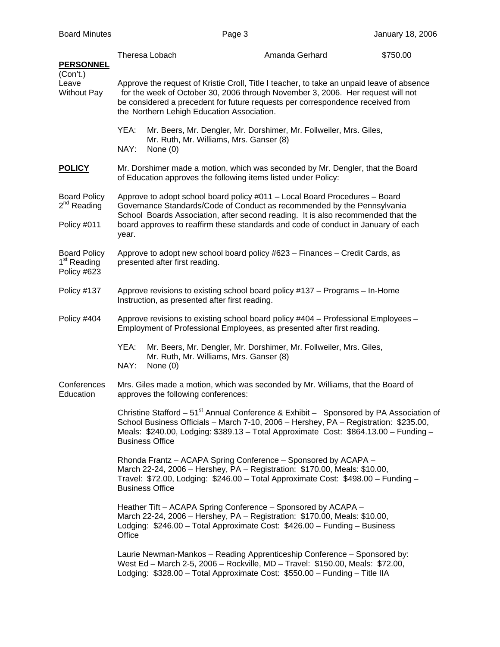| <u>PERSONNEL</u>                                              |                                                                                                                                                                                                                                                                                                                                         | Theresa Lobach                                        | Amanda Gerhard                                                                                                                                                                                                                          | \$750.00 |  |  |  |
|---------------------------------------------------------------|-----------------------------------------------------------------------------------------------------------------------------------------------------------------------------------------------------------------------------------------------------------------------------------------------------------------------------------------|-------------------------------------------------------|-----------------------------------------------------------------------------------------------------------------------------------------------------------------------------------------------------------------------------------------|----------|--|--|--|
| (Con't.)<br>Leave<br><b>Without Pay</b>                       | Approve the request of Kristie Croll, Title I teacher, to take an unpaid leave of absence<br>for the week of October 30, 2006 through November 3, 2006. Her request will not<br>be considered a precedent for future requests per correspondence received from<br>the Northern Lehigh Education Association.                            |                                                       |                                                                                                                                                                                                                                         |          |  |  |  |
|                                                               | YEA:<br>NAY:                                                                                                                                                                                                                                                                                                                            | Mr. Ruth, Mr. Williams, Mrs. Ganser (8)<br>None $(0)$ | Mr. Beers, Mr. Dengler, Mr. Dorshimer, Mr. Follweiler, Mrs. Giles,                                                                                                                                                                      |          |  |  |  |
| <b>POLICY</b>                                                 | Mr. Dorshimer made a motion, which was seconded by Mr. Dengler, that the Board<br>of Education approves the following items listed under Policy:                                                                                                                                                                                        |                                                       |                                                                                                                                                                                                                                         |          |  |  |  |
| <b>Board Policy</b><br>2 <sup>nd</sup> Reading                | Approve to adopt school board policy #011 - Local Board Procedures - Board<br>Governance Standards/Code of Conduct as recommended by the Pennsylvania<br>School Boards Association, after second reading. It is also recommended that the<br>board approves to reaffirm these standards and code of conduct in January of each<br>year. |                                                       |                                                                                                                                                                                                                                         |          |  |  |  |
| Policy #011                                                   |                                                                                                                                                                                                                                                                                                                                         |                                                       |                                                                                                                                                                                                                                         |          |  |  |  |
| <b>Board Policy</b><br>1 <sup>st</sup> Reading<br>Policy #623 | Approve to adopt new school board policy #623 - Finances - Credit Cards, as<br>presented after first reading.                                                                                                                                                                                                                           |                                                       |                                                                                                                                                                                                                                         |          |  |  |  |
| Policy #137                                                   | Approve revisions to existing school board policy #137 - Programs - In-Home<br>Instruction, as presented after first reading.                                                                                                                                                                                                           |                                                       |                                                                                                                                                                                                                                         |          |  |  |  |
| Policy #404                                                   | Approve revisions to existing school board policy #404 - Professional Employees -<br>Employment of Professional Employees, as presented after first reading.                                                                                                                                                                            |                                                       |                                                                                                                                                                                                                                         |          |  |  |  |
|                                                               | YEA:<br>NAY:                                                                                                                                                                                                                                                                                                                            | Mr. Ruth, Mr. Williams, Mrs. Ganser (8)<br>None $(0)$ | Mr. Beers, Mr. Dengler, Mr. Dorshimer, Mr. Follweiler, Mrs. Giles,                                                                                                                                                                      |          |  |  |  |
| Conferences<br>Education                                      | Mrs. Giles made a motion, which was seconded by Mr. Williams, that the Board of<br>approves the following conferences:                                                                                                                                                                                                                  |                                                       |                                                                                                                                                                                                                                         |          |  |  |  |
|                                                               | Christine Stafford - 51 <sup>st</sup> Annual Conference & Exhibit - Sponsored by PA Association of<br>School Business Officials - March 7-10, 2006 - Hershey, PA - Registration: \$235.00,<br>Meals: \$240.00, Lodging: \$389.13 - Total Approximate Cost: \$864.13.00 - Funding -<br><b>Business Office</b>                            |                                                       |                                                                                                                                                                                                                                         |          |  |  |  |
|                                                               | Rhonda Frantz - ACAPA Spring Conference - Sponsored by ACAPA -<br>March 22-24, 2006 - Hershey, PA - Registration: \$170.00, Meals: \$10.00,<br>Travel: \$72.00, Lodging: \$246.00 - Total Approximate Cost: \$498.00 - Funding -<br><b>Business Office</b>                                                                              |                                                       |                                                                                                                                                                                                                                         |          |  |  |  |
|                                                               | Heather Tift – ACAPA Spring Conference – Sponsored by ACAPA –<br>March 22-24, 2006 - Hershey, PA - Registration: \$170.00, Meals: \$10.00,<br>Lodging: \$246.00 - Total Approximate Cost: \$426.00 - Funding - Business<br>Office                                                                                                       |                                                       |                                                                                                                                                                                                                                         |          |  |  |  |
|                                                               |                                                                                                                                                                                                                                                                                                                                         |                                                       | Laurie Newman-Mankos - Reading Apprenticeship Conference - Sponsored by:<br>West Ed - March 2-5, 2006 - Rockville, MD - Travel: \$150.00, Meals: \$72.00,<br>Lodging: \$328.00 - Total Approximate Cost: \$550.00 - Funding - Title IIA |          |  |  |  |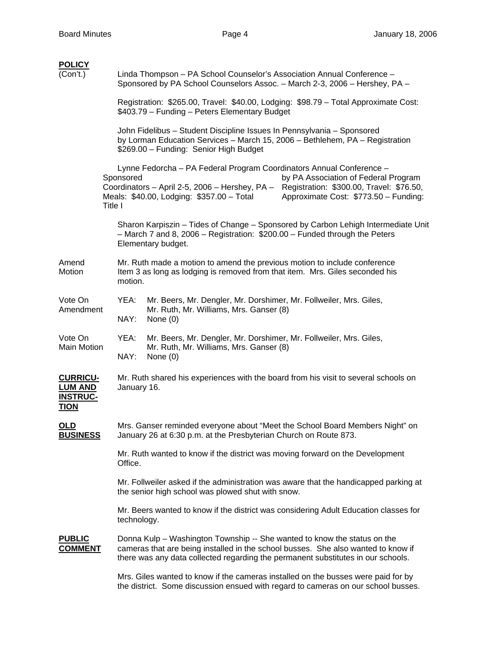| <u>POLICY</u>                                                       |         |                                                                                                                                                                                                  |                                                                                                                                                                                                                                                                                               |  |  |  |  |
|---------------------------------------------------------------------|---------|--------------------------------------------------------------------------------------------------------------------------------------------------------------------------------------------------|-----------------------------------------------------------------------------------------------------------------------------------------------------------------------------------------------------------------------------------------------------------------------------------------------|--|--|--|--|
| (Con't.)                                                            |         | Linda Thompson - PA School Counselor's Association Annual Conference -<br>Sponsored by PA School Counselors Assoc. - March 2-3, 2006 - Hershey, PA -                                             |                                                                                                                                                                                                                                                                                               |  |  |  |  |
|                                                                     |         |                                                                                                                                                                                                  | Registration: \$265.00, Travel: \$40.00, Lodging: \$98.79 - Total Approximate Cost:<br>\$403.79 - Funding - Peters Elementary Budget                                                                                                                                                          |  |  |  |  |
|                                                                     |         | John Fidelibus - Student Discipline Issues In Pennsylvania - Sponsored<br>by Lorman Education Services - March 15, 2006 - Bethlehem, PA - Registration<br>\$269.00 - Funding: Senior High Budget |                                                                                                                                                                                                                                                                                               |  |  |  |  |
|                                                                     | Title I | Sponsored                                                                                                                                                                                        | Lynne Fedorcha - PA Federal Program Coordinators Annual Conference -<br>by PA Association of Federal Program<br>Coordinators - April 2-5, 2006 - Hershey, PA - Registration: \$300.00, Travel: \$76.50,<br>Approximate Cost: \$773.50 - Funding:<br>Meals: \$40.00, Lodging: \$357.00 - Total |  |  |  |  |
|                                                                     |         |                                                                                                                                                                                                  | Sharon Karpiszin - Tides of Change - Sponsored by Carbon Lehigh Intermediate Unit<br>- March 7 and 8, 2006 - Registration: \$200.00 - Funded through the Peters<br>Elementary budget.                                                                                                         |  |  |  |  |
| Amend<br>Motion                                                     |         | Mr. Ruth made a motion to amend the previous motion to include conference<br>Item 3 as long as lodging is removed from that item. Mrs. Giles seconded his<br>motion.                             |                                                                                                                                                                                                                                                                                               |  |  |  |  |
| Vote On<br>Amendment                                                |         | YEA:<br>NAY:                                                                                                                                                                                     | Mr. Beers, Mr. Dengler, Mr. Dorshimer, Mr. Follweiler, Mrs. Giles,<br>Mr. Ruth, Mr. Williams, Mrs. Ganser (8)<br>None $(0)$                                                                                                                                                                   |  |  |  |  |
| Vote On<br>Main Motion                                              |         | YEA:<br>NAY:                                                                                                                                                                                     | Mr. Beers, Mr. Dengler, Mr. Dorshimer, Mr. Follweiler, Mrs. Giles,<br>Mr. Ruth, Mr. Williams, Mrs. Ganser (8)<br>None $(0)$                                                                                                                                                                   |  |  |  |  |
| <b>CURRICU-</b><br><u>LUM AND</u><br><b>INSTRUC-</b><br><u>TION</u> |         | Mr. Ruth shared his experiences with the board from his visit to several schools on<br>January 16.                                                                                               |                                                                                                                                                                                                                                                                                               |  |  |  |  |
| OLD<br><b>BUSINESS</b>                                              |         |                                                                                                                                                                                                  | Mrs. Ganser reminded everyone about "Meet the School Board Members Night" on<br>January 26 at 6:30 p.m. at the Presbyterian Church on Route 873.                                                                                                                                              |  |  |  |  |
|                                                                     |         | Mr. Ruth wanted to know if the district was moving forward on the Development<br>Office.                                                                                                         |                                                                                                                                                                                                                                                                                               |  |  |  |  |
|                                                                     |         | Mr. Follweiler asked if the administration was aware that the handicapped parking at<br>the senior high school was plowed shut with snow.                                                        |                                                                                                                                                                                                                                                                                               |  |  |  |  |
|                                                                     |         | technology.                                                                                                                                                                                      | Mr. Beers wanted to know if the district was considering Adult Education classes for                                                                                                                                                                                                          |  |  |  |  |
| <b>PUBLIC</b><br><u>COMMENT</u>                                     |         |                                                                                                                                                                                                  | Donna Kulp – Washington Township -- She wanted to know the status on the<br>cameras that are being installed in the school busses. She also wanted to know if<br>there was any data collected regarding the permanent substitutes in our schools.                                             |  |  |  |  |
|                                                                     |         |                                                                                                                                                                                                  | Mrs. Giles wanted to know if the cameras installed on the busses were paid for by                                                                                                                                                                                                             |  |  |  |  |

the district. Some discussion ensued with regard to cameras on our school busses.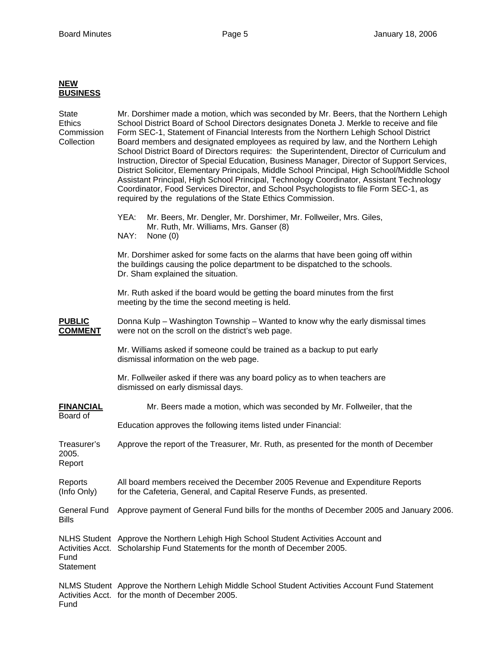## **NEW BUSINESS** State Mr. Dorshimer made a motion, which was seconded by Mr. Beers, that the Northern Lehigh Ethics School District Board of School Directors designates Doneta J. Merkle to receive and file Commission Form SEC-1, Statement of Financial Interests from the Northern Lehigh School District Board members and designated employees as required by law, and the Northern Lehigh School District Board of Directors requires: the Superintendent, Director of Curriculum and Instruction, Director of Special Education, Business Manager, Director of Support Services, District Solicitor, Elementary Principals, Middle School Principal, High School/Middle School Assistant Principal, High School Principal, Technology Coordinator, Assistant Technology Coordinator, Food Services Director, and School Psychologists to file Form SEC-1, as required by the regulations of the State Ethics Commission. YEA: Mr. Beers, Mr. Dengler, Mr. Dorshimer, Mr. Follweiler, Mrs. Giles, Mr. Ruth, Mr. Williams, Mrs. Ganser (8) NAY: None (0) Mr. Dorshimer asked for some facts on the alarms that have been going off within the buildings causing the police department to be dispatched to the schools. Dr. Sham explained the situation. Mr. Ruth asked if the board would be getting the board minutes from the first meeting by the time the second meeting is held. **PUBLIC** Donna Kulp – Washington Township – Wanted to know why the early dismissal times **COMMENT** were not on the scroll on the district's web page. Mr. Williams asked if someone could be trained as a backup to put early dismissal information on the web page. Mr. Follweiler asked if there was any board policy as to when teachers are dismissed on early dismissal days. **FINANCIAL** Mr. Beers made a motion, which was seconded by Mr. Follweiler, that the Board of Education approves the following items listed under Financial: Treasurer's Approve the report of the Treasurer, Mr. Ruth, as presented for the month of December 2005. Report Reports All board members received the December 2005 Revenue and Expenditure Reports (Info Only) for the Cafeteria, General, and Capital Reserve Funds, as presented. General Fund Approve payment of General Fund bills for the months of December 2005 and January 2006. Bills NLHS Student Approve the Northern Lehigh High School Student Activities Account and Activities Acct. Scholarship Fund Statements for the month of December 2005. Fund **Statement** NLMS Student Approve the Northern Lehigh Middle School Student Activities Account Fund Statement Activities Acct. for the month of December 2005. Fund